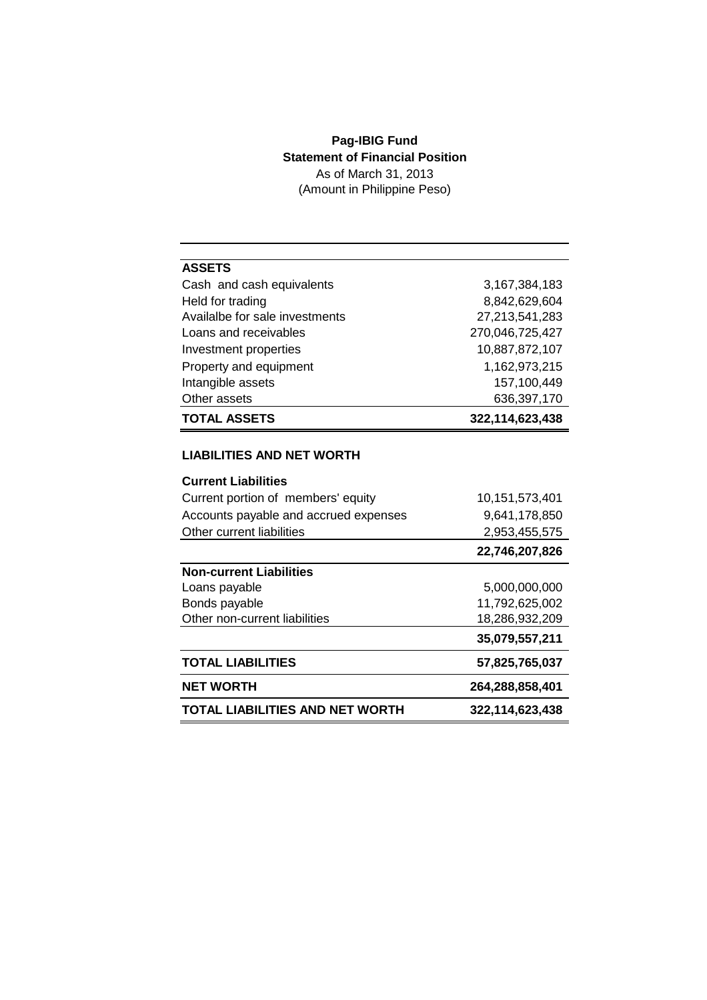## **Pag-IBIG Fund Statement of Financial Position** As of March 31, 2013

(Amount in Philippine Peso)

| <b>ASSETS</b>                  |                 |
|--------------------------------|-----------------|
| Cash and cash equivalents      | 3,167,384,183   |
| Held for trading               | 8,842,629,604   |
| Availalbe for sale investments | 27,213,541,283  |
| Loans and receivables          | 270,046,725,427 |
| Investment properties          | 10,887,872,107  |
| Property and equipment         | 1,162,973,215   |
| Intangible assets              | 157,100,449     |
| Other assets                   | 636,397,170     |
| <b>TOTAL ASSETS</b>            | 322,114,623,438 |

### **LIABILITIES AND NET WORTH**

| <b>Current Liabilities</b>             |                 |
|----------------------------------------|-----------------|
| Current portion of members' equity     | 10,151,573,401  |
| Accounts payable and accrued expenses  | 9,641,178,850   |
| Other current liabilities              | 2,953,455,575   |
|                                        | 22,746,207,826  |
| <b>Non-current Liabilities</b>         |                 |
| Loans payable                          | 5,000,000,000   |
| Bonds payable                          | 11,792,625,002  |
| Other non-current liabilities          | 18,286,932,209  |
|                                        | 35,079,557,211  |
| <b>TOTAL LIABILITIES</b>               | 57,825,765,037  |
| <b>NET WORTH</b>                       | 264,288,858,401 |
| <b>TOTAL LIABILITIES AND NET WORTH</b> | 322,114,623,438 |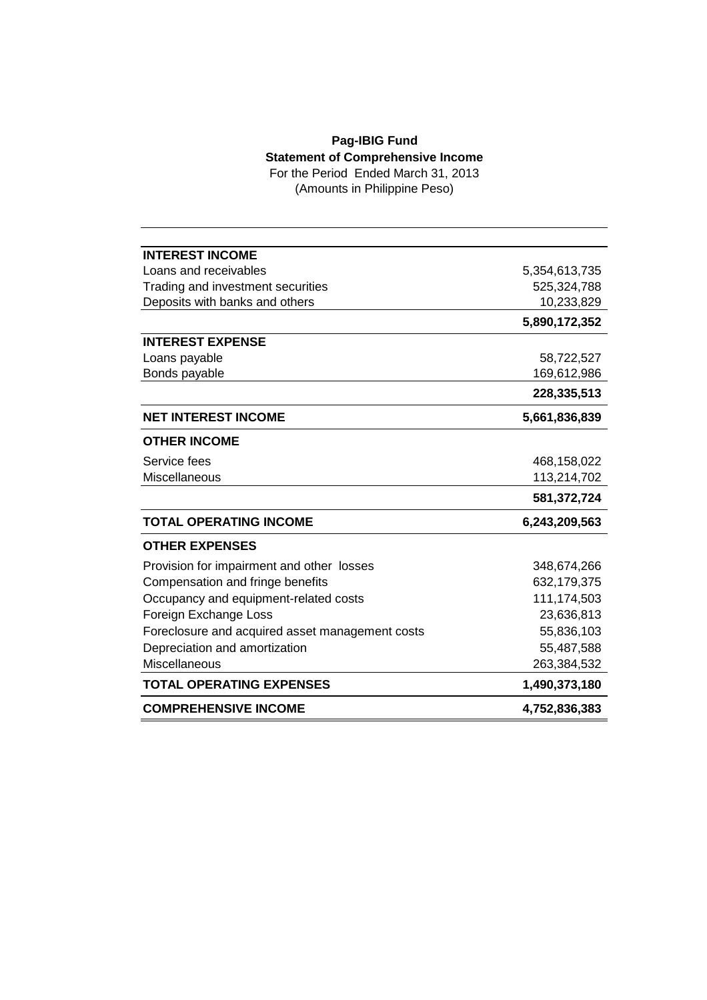# **Pag-IBIG Fund Statement of Comprehensive Income**

For the Period Ended March 31, 2013 (Amounts in Philippine Peso)

| <b>INTEREST INCOME</b>                          |               |
|-------------------------------------------------|---------------|
| Loans and receivables                           | 5,354,613,735 |
| Trading and investment securities               | 525,324,788   |
| Deposits with banks and others                  | 10,233,829    |
|                                                 | 5,890,172,352 |
| <b>INTEREST EXPENSE</b>                         |               |
| Loans payable                                   | 58,722,527    |
| Bonds payable                                   | 169,612,986   |
|                                                 | 228,335,513   |
| <b>NET INTEREST INCOME</b>                      | 5,661,836,839 |
| <b>OTHER INCOME</b>                             |               |
| Service fees                                    | 468,158,022   |
| <b>Miscellaneous</b>                            | 113,214,702   |
|                                                 | 581,372,724   |
| <b>TOTAL OPERATING INCOME</b>                   | 6,243,209,563 |
| <b>OTHER EXPENSES</b>                           |               |
| Provision for impairment and other losses       | 348,674,266   |
| Compensation and fringe benefits                | 632,179,375   |
| Occupancy and equipment-related costs           | 111,174,503   |
| Foreign Exchange Loss                           | 23,636,813    |
| Foreclosure and acquired asset management costs | 55,836,103    |
| Depreciation and amortization                   | 55,487,588    |
| Miscellaneous                                   | 263,384,532   |
| <b>TOTAL OPERATING EXPENSES</b>                 | 1,490,373,180 |
| <b>COMPREHENSIVE INCOME</b>                     | 4,752,836,383 |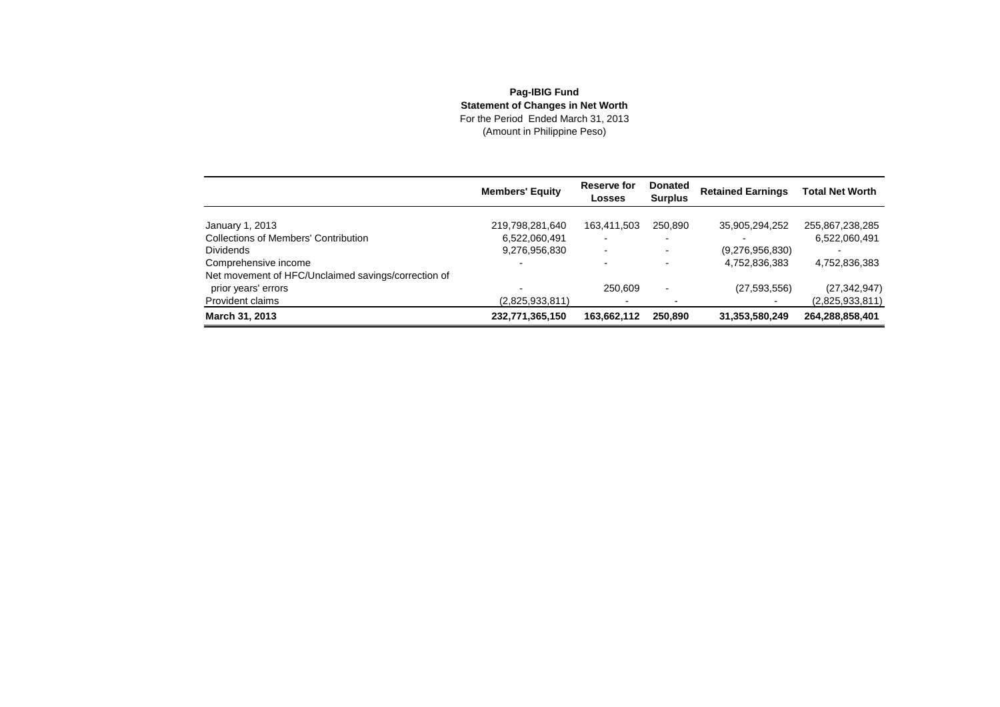## **Pag-IBIG Fund Statement of Changes in Net Worth** For the Period Ended March 31, 2013(Amount in Philippine Peso)

|                                                     | <b>Members' Equity</b> | Reserve for<br>Losses    | <b>Donated</b><br><b>Surplus</b> | <b>Retained Earnings</b> | <b>Total Net Worth</b> |
|-----------------------------------------------------|------------------------|--------------------------|----------------------------------|--------------------------|------------------------|
| January 1, 2013                                     | 219,798,281,640        | 163,411,503              | 250.890                          | 35,905,294,252           | 255,867,238,285        |
| <b>Collections of Members' Contribution</b>         | 6,522,060,491          | $\blacksquare$           |                                  |                          | 6,522,060,491          |
| <b>Dividends</b>                                    | 9,276,956,830          | $\overline{\phantom{0}}$ |                                  | (9,276,956,830)          |                        |
| Comprehensive income                                |                        |                          |                                  | 4,752,836,383            | 4,752,836,383          |
| Net movement of HFC/Unclaimed savings/correction of |                        |                          |                                  |                          |                        |
| prior years' errors                                 |                        | 250.609                  |                                  | (27, 593, 556)           | (27, 342, 947)         |
| Provident claims                                    | (2,825,933,811)        | $\overline{\phantom{0}}$ |                                  |                          | (2,825,933,811)        |
| March 31, 2013                                      | 232,771,365,150        | 163,662,112              | 250,890                          | 31,353,580,249           | 264,288,858,401        |